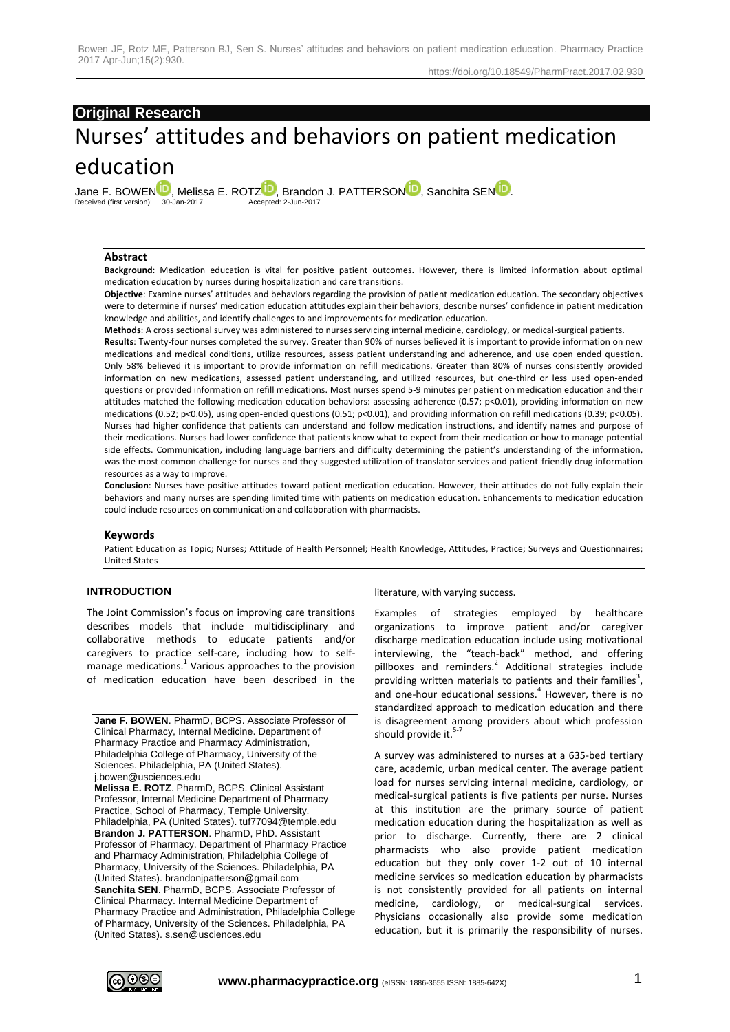# **Original Research**

# Nurses' attitudes and behaviors on patient medication education

Jane F. BOWE[N](http://orcid.org/0000-0002-0299-2731)<sup>ID</sup>, Melissa E. ROT[Z](http://orcid.org/0000-0002-8930-1277)<sup>ID</sup>, Brandon J. PATTERSON<sup>ID</sup>, Sanchita SEN<sup>ID</sup>.<br>Received (first version): 30-Jan-2017<br>Accepted: 2-Jun-2017 Received (first version): 30-Jan-2017

#### **Abstract**

**Background**: Medication education is vital for positive patient outcomes. However, there is limited information about optimal medication education by nurses during hospitalization and care transitions.

**Objective**: Examine nurses' attitudes and behaviors regarding the provision of patient medication education. The secondary objectives were to determine if nurses' medication education attitudes explain their behaviors, describe nurses' confidence in patient medication knowledge and abilities, and identify challenges to and improvements for medication education.

**Methods**: A cross sectional survey was administered to nurses servicing internal medicine, cardiology, or medical-surgical patients.

**Results**: Twenty-four nurses completed the survey. Greater than 90% of nurses believed it is important to provide information on new medications and medical conditions, utilize resources, assess patient understanding and adherence, and use open ended question. Only 58% believed it is important to provide information on refill medications. Greater than 80% of nurses consistently provided information on new medications, assessed patient understanding, and utilized resources, but one-third or less used open-ended questions or provided information on refill medications. Most nurses spend 5-9 minutes per patient on medication education and their attitudes matched the following medication education behaviors: assessing adherence (0.57; p<0.01), providing information on new medications (0.52; p<0.05), using open-ended questions (0.51; p<0.01), and providing information on refill medications (0.39; p<0.05). Nurses had higher confidence that patients can understand and follow medication instructions, and identify names and purpose of their medications. Nurses had lower confidence that patients know what to expect from their medication or how to manage potential side effects. Communication, including language barriers and difficulty determining the patient's understanding of the information, was the most common challenge for nurses and they suggested utilization of translator services and patient-friendly drug information resources as a way to improve.

**Conclusion**: Nurses have positive attitudes toward patient medication education. However, their attitudes do not fully explain their behaviors and many nurses are spending limited time with patients on medication education. Enhancements to medication education could include resources on communication and collaboration with pharmacists.

#### **Keywords**

Patient Education as Topic; Nurses; Attitude of Health Personnel; Health Knowledge, Attitudes, Practice; Surveys and Questionnaires; United States

#### **INTRODUCTION**

The Joint Commission's focus on improving care transitions describes models that include multidisciplinary and collaborative methods to educate patients and/or caregivers to practice self-care, including how to selfmanage medications.<sup>1</sup> Various approaches to the provision of medication education have been described in the

**Jane F. BOWEN**. PharmD, BCPS. Associate Professor of Clinical Pharmacy, Internal Medicine. Department of Pharmacy Practice and Pharmacy Administration, Philadelphia College of Pharmacy, University of the Sciences. Philadelphia, PA (United States). j.bowen@usciences.edu

**Melissa E. ROTZ**. PharmD, BCPS. Clinical Assistant Professor, Internal Medicine Department of Pharmacy Practice, School of Pharmacy, Temple University. Philadelphia, PA (United States). tuf77094@temple.edu **Brandon J. PATTERSON**. PharmD, PhD. Assistant Professor of Pharmacy. Department of Pharmacy Practice and Pharmacy Administration, Philadelphia College of Pharmacy, University of the Sciences. Philadelphia, PA (United States). brandonjpatterson@gmail.com **Sanchita SEN**. PharmD, BCPS. Associate Professor of Clinical Pharmacy. Internal Medicine Department of Pharmacy Practice and Administration, Philadelphia College of Pharmacy, University of the Sciences. Philadelphia, PA (United States). s.sen@usciences.edu

#### literature, with varying success.

Examples of strategies employed by healthcare organizations to improve patient and/or caregiver discharge medication education include using motivational interviewing, the "teach-back" method, and offering pillboxes and reminders.<sup>2</sup> Additional strategies include providing written materials to patients and their families<sup>3</sup>, and one-hour educational sessions.<sup>4</sup> However, there is no standardized approach to medication education and there is disagreement among providers about which profession should provide it.<sup>5-7</sup>

A survey was administered to nurses at a 635-bed tertiary care, academic, urban medical center. The average patient load for nurses servicing internal medicine, cardiology, or medical-surgical patients is five patients per nurse. Nurses at this institution are the primary source of patient medication education during the hospitalization as well as prior to discharge. Currently, there are 2 clinical pharmacists who also provide patient medication education but they only cover 1-2 out of 10 internal medicine services so medication education by pharmacists is not consistently provided for all patients on internal medicine, cardiology, or medical-surgical services. Physicians occasionally also provide some medication education, but it is primarily the responsibility of nurses.

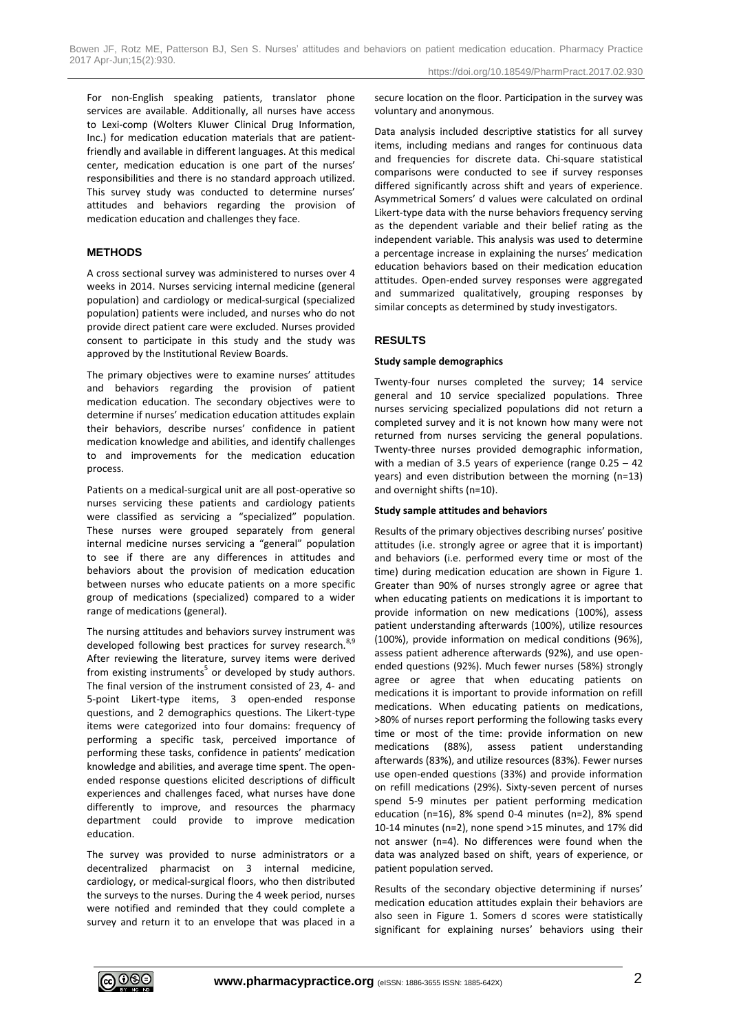For non-English speaking patients, translator phone services are available. Additionally, all nurses have access to Lexi-comp (Wolters Kluwer Clinical Drug Information, Inc.) for medication education materials that are patientfriendly and available in different languages. At this medical center, medication education is one part of the nurses' responsibilities and there is no standard approach utilized. This survey study was conducted to determine nurses' attitudes and behaviors regarding the provision of medication education and challenges they face.

#### **METHODS**

A cross sectional survey was administered to nurses over 4 weeks in 2014. Nurses servicing internal medicine (general population) and cardiology or medical-surgical (specialized population) patients were included, and nurses who do not provide direct patient care were excluded. Nurses provided consent to participate in this study and the study was approved by the Institutional Review Boards.

The primary objectives were to examine nurses' attitudes and behaviors regarding the provision of patient medication education. The secondary objectives were to determine if nurses' medication education attitudes explain their behaviors, describe nurses' confidence in patient medication knowledge and abilities, and identify challenges to and improvements for the medication education process.

Patients on a medical-surgical unit are all post-operative so nurses servicing these patients and cardiology patients were classified as servicing a "specialized" population. These nurses were grouped separately from general internal medicine nurses servicing a "general" population to see if there are any differences in attitudes and behaviors about the provision of medication education between nurses who educate patients on a more specific group of medications (specialized) compared to a wider range of medications (general).

The nursing attitudes and behaviors survey instrument was developed following best practices for survey research.<sup>8,9</sup> After reviewing the literature, survey items were derived from existing instruments<sup>5</sup> or developed by study authors. The final version of the instrument consisted of 23, 4- and 5-point Likert-type items, 3 open-ended response questions, and 2 demographics questions. The Likert-type items were categorized into four domains: frequency of performing a specific task, perceived importance of performing these tasks, confidence in patients' medication knowledge and abilities, and average time spent. The openended response questions elicited descriptions of difficult experiences and challenges faced, what nurses have done differently to improve, and resources the pharmacy department could provide to improve medication education.

The survey was provided to nurse administrators or a decentralized pharmacist on 3 internal medicine, cardiology, or medical-surgical floors, who then distributed the surveys to the nurses. During the 4 week period, nurses were notified and reminded that they could complete a survey and return it to an envelope that was placed in a secure location on the floor. Participation in the survey was voluntary and anonymous.

Data analysis included descriptive statistics for all survey items, including medians and ranges for continuous data and frequencies for discrete data. Chi-square statistical comparisons were conducted to see if survey responses differed significantly across shift and years of experience. Asymmetrical Somers' d values were calculated on ordinal Likert-type data with the nurse behaviors frequency serving as the dependent variable and their belief rating as the independent variable. This analysis was used to determine a percentage increase in explaining the nurses' medication education behaviors based on their medication education attitudes. Open-ended survey responses were aggregated and summarized qualitatively, grouping responses by similar concepts as determined by study investigators.

## **RESULTS**

#### **Study sample demographics**

Twenty-four nurses completed the survey; 14 service general and 10 service specialized populations. Three nurses servicing specialized populations did not return a completed survey and it is not known how many were not returned from nurses servicing the general populations. Twenty-three nurses provided demographic information, with a median of 3.5 years of experience (range 0.25 – 42 years) and even distribution between the morning (n=13) and overnight shifts (n=10).

#### **Study sample attitudes and behaviors**

Results of the primary objectives describing nurses' positive attitudes (i.e. strongly agree or agree that it is important) and behaviors (i.e. performed every time or most of the time) during medication education are shown in Figure 1. Greater than 90% of nurses strongly agree or agree that when educating patients on medications it is important to provide information on new medications (100%), assess patient understanding afterwards (100%), utilize resources (100%), provide information on medical conditions (96%), assess patient adherence afterwards (92%), and use openended questions (92%). Much fewer nurses (58%) strongly agree or agree that when educating patients on medications it is important to provide information on refill medications. When educating patients on medications, >80% of nurses report performing the following tasks every time or most of the time: provide information on new medications (88%), assess patient understanding afterwards (83%), and utilize resources (83%). Fewer nurses use open-ended questions (33%) and provide information on refill medications (29%). Sixty-seven percent of nurses spend 5-9 minutes per patient performing medication education (n=16), 8% spend 0-4 minutes (n=2), 8% spend 10-14 minutes (n=2), none spend >15 minutes, and 17% did not answer (n=4). No differences were found when the data was analyzed based on shift, years of experience, or patient population served.

Results of the secondary objective determining if nurses' medication education attitudes explain their behaviors are also seen in Figure 1. Somers d scores were statistically significant for explaining nurses' behaviors using their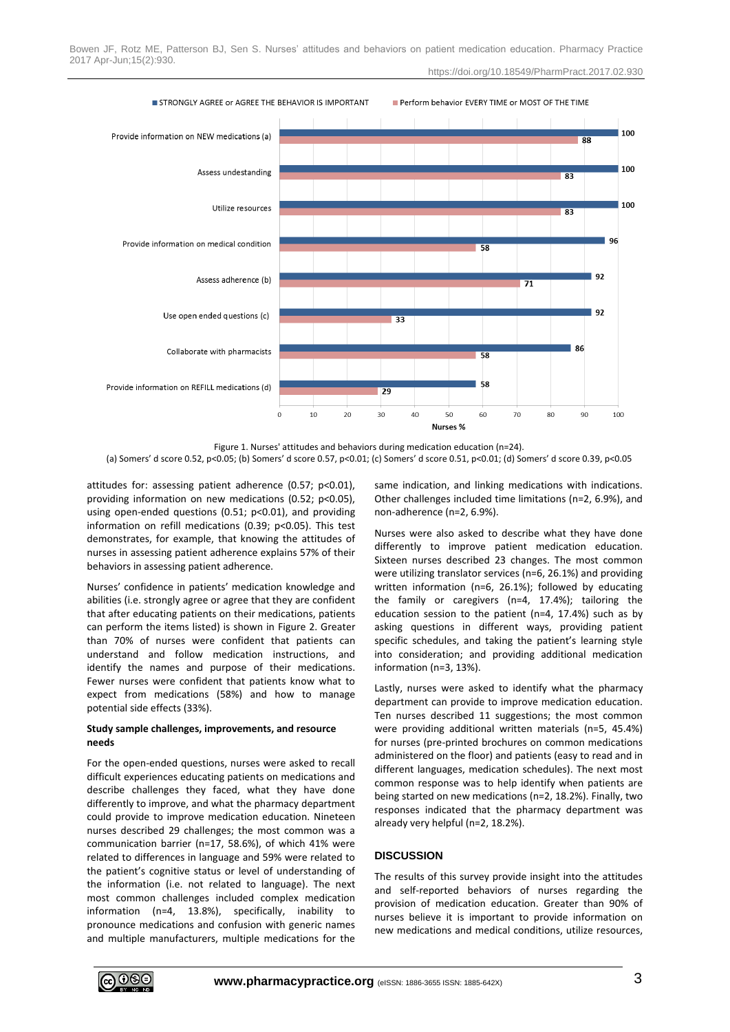

Figure 1. Nurses' attitudes and behaviors during medication education (n=24).

(a) Somers' d score 0.52, p<0.05; (b) Somers' d score 0.57, p<0.01; (c) Somers' d score 0.51, p<0.01; (d) Somers' d score 0.39, p<0.05

attitudes for: assessing patient adherence (0.57; p<0.01), providing information on new medications (0.52; p<0.05), using open-ended questions (0.51; p<0.01), and providing information on refill medications (0.39; p<0.05). This test demonstrates, for example, that knowing the attitudes of nurses in assessing patient adherence explains 57% of their behaviors in assessing patient adherence.

Nurses' confidence in patients' medication knowledge and abilities (i.e. strongly agree or agree that they are confident that after educating patients on their medications, patients can perform the items listed) is shown in Figure 2. Greater than 70% of nurses were confident that patients can understand and follow medication instructions, and identify the names and purpose of their medications. Fewer nurses were confident that patients know what to expect from medications (58%) and how to manage potential side effects (33%).

## **Study sample challenges, improvements, and resource needs**

For the open-ended questions, nurses were asked to recall difficult experiences educating patients on medications and describe challenges they faced, what they have done differently to improve, and what the pharmacy department could provide to improve medication education. Nineteen nurses described 29 challenges; the most common was a communication barrier (n=17, 58.6%), of which 41% were related to differences in language and 59% were related to the patient's cognitive status or level of understanding of the information (i.e. not related to language). The next most common challenges included complex medication information (n=4, 13.8%), specifically, inability to pronounce medications and confusion with generic names and multiple manufacturers, multiple medications for the same indication, and linking medications with indications. Other challenges included time limitations (n=2, 6.9%), and non-adherence (n=2, 6.9%).

Nurses were also asked to describe what they have done differently to improve patient medication education. Sixteen nurses described 23 changes. The most common were utilizing translator services (n=6, 26.1%) and providing written information (n=6, 26.1%); followed by educating the family or caregivers (n=4, 17.4%); tailoring the education session to the patient (n=4, 17.4%) such as by asking questions in different ways, providing patient specific schedules, and taking the patient's learning style into consideration; and providing additional medication information (n=3, 13%).

Lastly, nurses were asked to identify what the pharmacy department can provide to improve medication education. Ten nurses described 11 suggestions; the most common were providing additional written materials (n=5, 45.4%) for nurses (pre-printed brochures on common medications administered on the floor) and patients (easy to read and in different languages, medication schedules). The next most common response was to help identify when patients are being started on new medications (n=2, 18.2%). Finally, two responses indicated that the pharmacy department was already very helpful (n=2, 18.2%).

## **DISCUSSION**

The results of this survey provide insight into the attitudes and self-reported behaviors of nurses regarding the provision of medication education. Greater than 90% of nurses believe it is important to provide information on new medications and medical conditions, utilize resources,

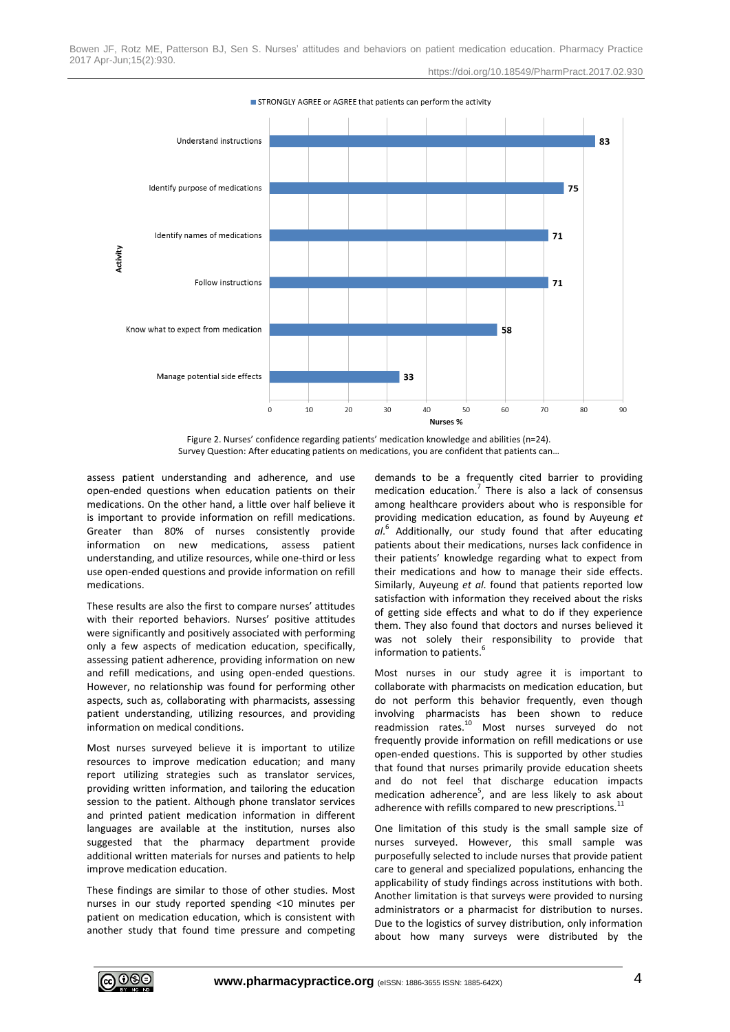

STRONGLY AGREE or AGREE that patients can perform the activity

Figure 2. Nurses' confidence regarding patients' medication knowledge and abilities (n=24). Survey Question: After educating patients on medications, you are confident that patients can…

assess patient understanding and adherence, and use open-ended questions when education patients on their medications. On the other hand, a little over half believe it is important to provide information on refill medications. Greater than 80% of nurses consistently provide information on new medications, assess patient understanding, and utilize resources, while one-third or less use open-ended questions and provide information on refill medications.

These results are also the first to compare nurses' attitudes with their reported behaviors. Nurses' positive attitudes were significantly and positively associated with performing only a few aspects of medication education, specifically, assessing patient adherence, providing information on new and refill medications, and using open-ended questions. However, no relationship was found for performing other aspects, such as, collaborating with pharmacists, assessing patient understanding, utilizing resources, and providing information on medical conditions.

Most nurses surveyed believe it is important to utilize resources to improve medication education; and many report utilizing strategies such as translator services, providing written information, and tailoring the education session to the patient. Although phone translator services and printed patient medication information in different languages are available at the institution, nurses also suggested that the pharmacy department provide additional written materials for nurses and patients to help improve medication education.

These findings are similar to those of other studies. Most nurses in our study reported spending <10 minutes per patient on medication education, which is consistent with another study that found time pressure and competing demands to be a frequently cited barrier to providing medication education.<sup>7</sup> There is also a lack of consensus among healthcare providers about who is responsible for providing medication education, as found by Auyeung *et al*. 6 Additionally, our study found that after educating patients about their medications, nurses lack confidence in their patients' knowledge regarding what to expect from their medications and how to manage their side effects. Similarly, Auyeung *et al*. found that patients reported low satisfaction with information they received about the risks of getting side effects and what to do if they experience them. They also found that doctors and nurses believed it was not solely their responsibility to provide that information to patients.<sup>6</sup>

Most nurses in our study agree it is important to collaborate with pharmacists on medication education, but do not perform this behavior frequently, even though involving pharmacists has been shown to reduce readmission rates.<sup>10</sup> Most nurses surveyed do not frequently provide information on refill medications or use open-ended questions. This is supported by other studies that found that nurses primarily provide education sheets and do not feel that discharge education impacts medication adherence<sup>5</sup>, and are less likely to ask about adherence with refills compared to new prescriptions.<sup>1</sup>

One limitation of this study is the small sample size of nurses surveyed. However, this small sample was purposefully selected to include nurses that provide patient care to general and specialized populations, enhancing the applicability of study findings across institutions with both. Another limitation is that surveys were provided to nursing administrators or a pharmacist for distribution to nurses. Due to the logistics of survey distribution, only information about how many surveys were distributed by the